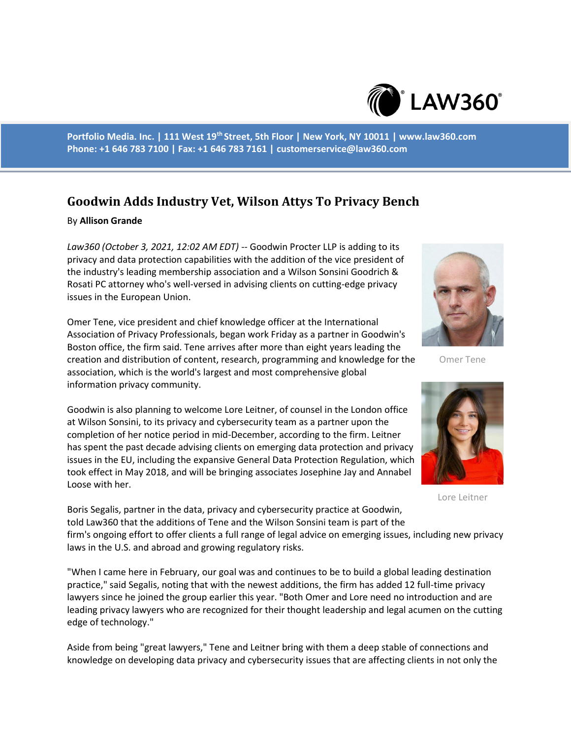

**Portfolio Media. Inc. | 111 West 19th Street, 5th Floor | New York, NY 10011 | www.law360.com Phone: +1 646 783 7100 | Fax: +1 646 783 7161 | customerservice@law360.com**

## **Goodwin Adds Industry Vet, Wilson Attys To Privacy Bench**

## By **Allison Grande**

*Law360 (October 3, 2021, 12:02 AM EDT)* -- Goodwin Procter LLP is adding to its privacy and data protection capabilities with the addition of the vice president of the industry's leading membership association and a Wilson Sonsini Goodrich & Rosati PC attorney who's well-versed in advising clients on cutting-edge privacy issues in the European Union.

Omer Tene, vice president and chief knowledge officer at the International Association of Privacy Professionals, began work Friday as a partner in Goodwin's Boston office, the firm said. Tene arrives after more than eight years leading the creation and distribution of content, research, programming and knowledge for the association, which is the world's largest and most comprehensive global information privacy community.

Goodwin is also planning to welcome Lore Leitner, of counsel in the London office at Wilson Sonsini, to its privacy and cybersecurity team as a partner upon the completion of her notice period in mid-December, according to the firm. Leitner has spent the past decade advising clients on emerging data protection and privacy issues in the EU, including the expansive General Data Protection Regulation, which took effect in May 2018, and will be bringing associates Josephine Jay and Annabel Loose with her.

Boris Segalis, partner in the data, privacy and cybersecurity practice at Goodwin, told Law360 that the additions of Tene and the Wilson Sonsini team is part of the firm's ongoing effort to offer clients a full range of legal advice on emerging issues, including new privacy laws in the U.S. and abroad and growing regulatory risks.

"When I came here in February, our goal was and continues to be to build a global leading destination practice," said Segalis, noting that with the newest additions, the firm has added 12 full-time privacy lawyers since he joined the group earlier this year. "Both Omer and Lore need no introduction and are leading privacy lawyers who are recognized for their thought leadership and legal acumen on the cutting edge of technology."

Aside from being "great lawyers," Tene and Leitner bring with them a deep stable of connections and knowledge on developing data privacy and cybersecurity issues that are affecting clients in not only the



Omer Tene



Lore Leitner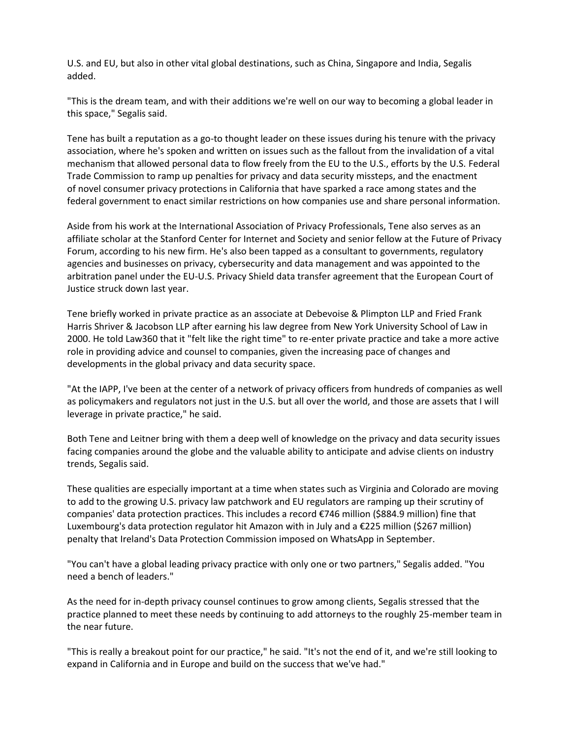U.S. and EU, but also in other vital global destinations, such as China, Singapore and India, Segalis added.

"This is the dream team, and with their additions we're well on our way to becoming a global leader in this space," Segalis said.

Tene has built a reputation as a go-to thought leader on these issues during his tenure with the privacy association, where he's spoken and written on issues such as the fallout from the invalidation of a vital mechanism that allowed personal data to flow freely from the EU to the U.S., efforts by the U.S. Federal Trade Commission to ramp up penalties for privacy and data security missteps, and the enactment of novel consumer privacy protections in California that have sparked a race among states and the federal government to enact similar restrictions on how companies use and share personal information.

Aside from his work at the International Association of Privacy Professionals, Tene also serves as an affiliate scholar at the Stanford Center for Internet and Society and senior fellow at the Future of Privacy Forum, according to his new firm. He's also been tapped as a consultant to governments, regulatory agencies and businesses on privacy, cybersecurity and data management and was appointed to the arbitration panel under the EU-U.S. Privacy Shield data transfer agreement that the European Court of Justice struck down last year.

Tene briefly worked in private practice as an associate at Debevoise & Plimpton LLP and Fried Frank Harris Shriver & Jacobson LLP after earning his law degree from New York University School of Law in 2000. He told Law360 that it "felt like the right time" to re-enter private practice and take a more active role in providing advice and counsel to companies, given the increasing pace of changes and developments in the global privacy and data security space.

"At the IAPP, I've been at the center of a network of privacy officers from hundreds of companies as well as policymakers and regulators not just in the U.S. but all over the world, and those are assets that I will leverage in private practice," he said.

Both Tene and Leitner bring with them a deep well of knowledge on the privacy and data security issues facing companies around the globe and the valuable ability to anticipate and advise clients on industry trends, Segalis said.

These qualities are especially important at a time when states such as Virginia and Colorado are moving to add to the growing U.S. privacy law patchwork and EU regulators are ramping up their scrutiny of companies' data protection practices. This includes a record €746 million (\$884.9 million) fine that Luxembourg's data protection regulator hit Amazon with in July and a €225 million (\$267 million) penalty that Ireland's Data Protection Commission imposed on WhatsApp in September.

"You can't have a global leading privacy practice with only one or two partners," Segalis added. "You need a bench of leaders."

As the need for in-depth privacy counsel continues to grow among clients, Segalis stressed that the practice planned to meet these needs by continuing to add attorneys to the roughly 25-member team in the near future.

"This is really a breakout point for our practice," he said. "It's not the end of it, and we're still looking to expand in California and in Europe and build on the success that we've had."